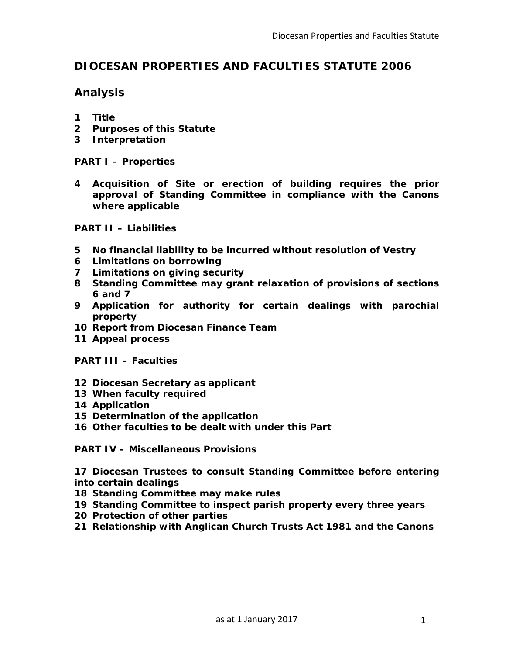# **DIOCESAN PROPERTIES AND FACULTIES STATUTE 2006**

# **Analysis**

- **1 Title**
- **2 Purposes of this Statute**
- **3 Interpretation**

**PART I – Properties**

**4 Acquisition of Site or erection of building requires the prior approval of Standing Committee in compliance with the Canons where applicable**

**PART II – Liabilities**

- **5 No financial liability to be incurred without resolution of Vestry**
- **6 Limitations on borrowing**
- **7 Limitations on giving security**
- **8 Standing Committee may grant relaxation of provisions of sections 6 and 7**
- **9 Application for authority for certain dealings with parochial property**
- **10 Report from Diocesan Finance Team**
- **11 Appeal process**

**PART III – Faculties**

- **12 Diocesan Secretary as applicant**
- **13 When faculty required**
- **14 Application**
- **15 Determination of the application**
- **16 Other faculties to be dealt with under this Part**

**PART IV – Miscellaneous Provisions**

**17 Diocesan Trustees to consult Standing Committee before entering into certain dealings**

- **18 Standing Committee may make rules**
- **19 Standing Committee to inspect parish property every three years**
- **20 Protection of other parties**
- **21 Relationship with Anglican Church Trusts Act 1981 and the Canons**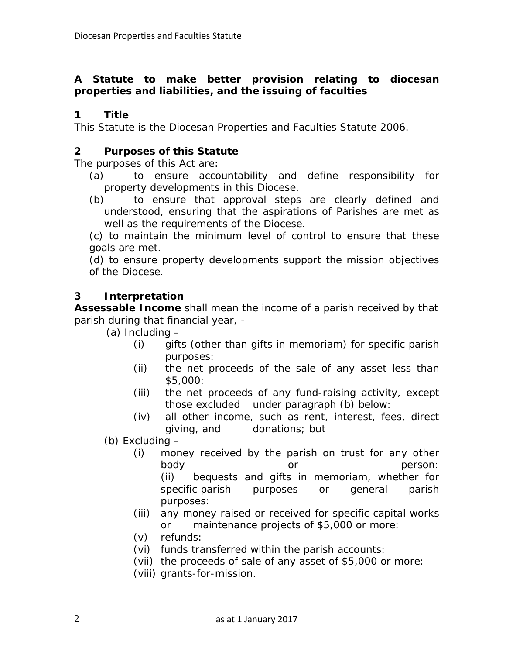# **A Statute to make better provision relating to diocesan properties and liabilities, and the issuing of faculties**

# **1 Title**

This Statute is the Diocesan Properties and Faculties Statute 2006.

# **2 Purposes of this Statute**

The purposes of this Act are:

- (a) to ensure accountability and define responsibility for property developments in this Diocese.
- (b) to ensure that approval steps are clearly defined and understood, ensuring that the aspirations of Parishes are met as well as the requirements of the Diocese.

(c) to maintain the minimum level of control to ensure that these goals are met.

(d) to ensure property developments support the mission objectives of the Diocese.

# **3 Interpretation**

**Assessable Income** shall mean the income of a parish received by that parish during that financial year, -

- (a) Including
	- (i) gifts (other than gifts in memoriam) for specific parish purposes:
	- (ii) the net proceeds of the sale of any asset less than \$5,000:
	- (iii) the net proceeds of any fund-raising activity, except those excluded under paragraph (b) below:
	- (iv) all other income, such as rent, interest, fees, direct giving, and donations; but

(b) Excluding –

- (i) money received by the parish on trust for any other body or person: (ii) bequests and gifts in memoriam, whether for specific parish purposes or general parish purposes:
- (iii) any money raised or received for specific capital works or maintenance projects of \$5,000 or more:
- (v) refunds:
- (vi) funds transferred within the parish accounts:
- (vii) the proceeds of sale of any asset of \$5,000 or more:
- (viii) grants-for-mission.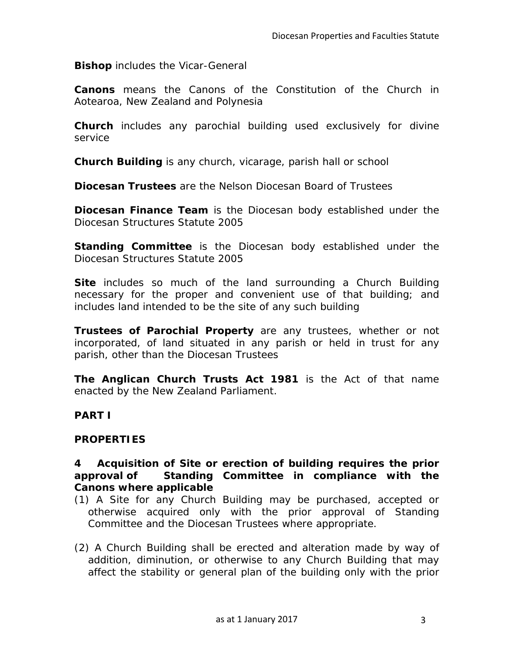**Bishop** includes the Vicar-General

**Canons** means the Canons of the Constitution of the Church in Aotearoa, New Zealand and Polynesia

**Church** includes any parochial building used exclusively for divine service

**Church Building** is any church, vicarage, parish hall or school

**Diocesan Trustees** are the Nelson Diocesan Board of Trustees

**Diocesan Finance Team** is the Diocesan body established under the Diocesan Structures Statute 2005

**Standing Committee** is the Diocesan body established under the Diocesan Structures Statute 2005

**Site** includes so much of the land surrounding a Church Building necessary for the proper and convenient use of that building; and includes land intended to be the site of any such building

**Trustees of Parochial Property** are any trustees, whether or not incorporated, of land situated in any parish or held in trust for any parish, other than the Diocesan Trustees

**The Anglican Church Trusts Act 1981** is the Act of that name enacted by the New Zealand Parliament.

#### **PART I**

#### **PROPERTIES**

#### **4 Acquisition of Site or erection of building requires the prior approval of Standing Committee in compliance with the Canons where applicable**

- (1) A Site for any Church Building may be purchased, accepted or otherwise acquired only with the prior approval of Standing Committee and the Diocesan Trustees where appropriate.
- (2) A Church Building shall be erected and alteration made by way of addition, diminution, or otherwise to any Church Building that may affect the stability or general plan of the building only with the prior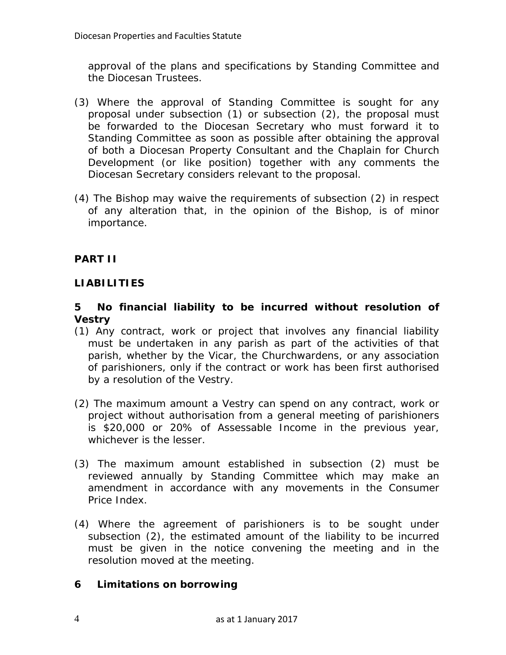approval of the plans and specifications by Standing Committee and the Diocesan Trustees.

- (3) Where the approval of Standing Committee is sought for any proposal under subsection (1) or subsection (2), the proposal must be forwarded to the Diocesan Secretary who must forward it to Standing Committee as soon as possible after obtaining the approval of both a Diocesan Property Consultant and the Chaplain for Church Development (or like position) together with any comments the Diocesan Secretary considers relevant to the proposal.
- (4) The Bishop may waive the requirements of subsection (2) in respect of any alteration that, in the opinion of the Bishop, is of minor importance.

# **PART II**

# **LIABILITIES**

### **5 No financial liability to be incurred without resolution of Vestry**

- (1) Any contract, work or project that involves any financial liability must be undertaken in any parish as part of the activities of that parish, whether by the Vicar, the Churchwardens, or any association of parishioners, only if the contract or work has been first authorised by a resolution of the Vestry.
- (2) The maximum amount a Vestry can spend on any contract, work or project without authorisation from a general meeting of parishioners is \$20,000 or 20% of Assessable Income in the previous year, whichever is the lesser.
- (3) The maximum amount established in subsection (2) must be reviewed annually by Standing Committee which may make an amendment in accordance with any movements in the Consumer Price Index.
- (4) Where the agreement of parishioners is to be sought under subsection (2), the estimated amount of the liability to be incurred must be given in the notice convening the meeting and in the resolution moved at the meeting.

### **6 Limitations on borrowing**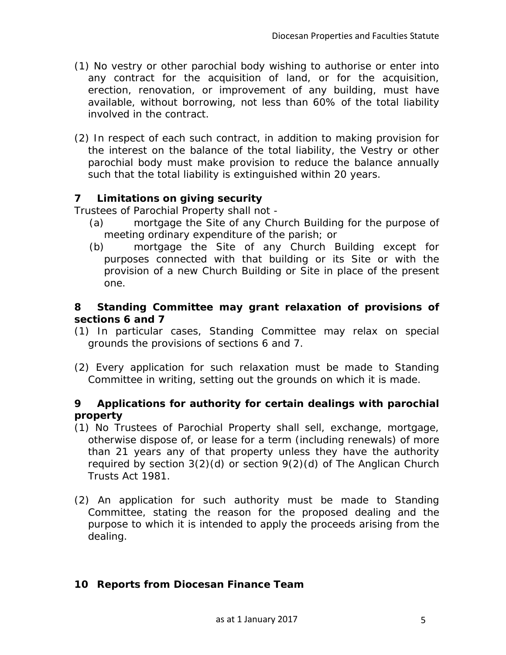- (1) No vestry or other parochial body wishing to authorise or enter into any contract for the acquisition of land, or for the acquisition, erection, renovation, or improvement of any building, must have available, without borrowing, not less than 60% of the total liability involved in the contract.
- (2) In respect of each such contract, in addition to making provision for the interest on the balance of the total liability, the Vestry or other parochial body must make provision to reduce the balance annually such that the total liability is extinguished within 20 years.

# **7 Limitations on giving security**

Trustees of Parochial Property shall not -

- (a) mortgage the Site of any Church Building for the purpose of meeting ordinary expenditure of the parish; or
- (b) mortgage the Site of any Church Building except for purposes connected with that building or its Site or with the provision of a new Church Building or Site in place of the present one.

## **8 Standing Committee may grant relaxation of provisions of sections 6 and 7**

- (1) In particular cases, Standing Committee may relax on special grounds the provisions of sections 6 and 7.
- (2) Every application for such relaxation must be made to Standing Committee in writing, setting out the grounds on which it is made.

### **9 Applications for authority for certain dealings with parochial property**

- (1) No Trustees of Parochial Property shall sell, exchange, mortgage, otherwise dispose of, or lease for a term (including renewals) of more than 21 years any of that property unless they have the authority required by section 3(2)(d) or section 9(2)(d) of The Anglican Church Trusts Act 1981.
- (2) An application for such authority must be made to Standing Committee, stating the reason for the proposed dealing and the purpose to which it is intended to apply the proceeds arising from the dealing.

# **10 Reports from Diocesan Finance Team**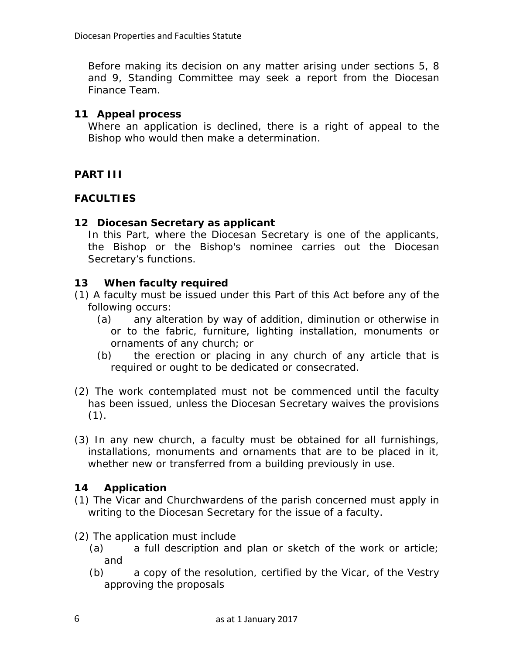Before making its decision on any matter arising under sections 5, 8 and 9, Standing Committee may seek a report from the Diocesan Finance Team.

## **11 Appeal process**

Where an application is declined, there is a right of appeal to the Bishop who would then make a determination.

# **PART III**

# **FACULTIES**

# **12 Diocesan Secretary as applicant**

In this Part, where the Diocesan Secretary is one of the applicants, the Bishop or the Bishop's nominee carries out the Diocesan Secretary's functions.

# **13 When faculty required**

- (1) A faculty must be issued under this Part of this Act before any of the following occurs:
	- (a) any alteration by way of addition, diminution or otherwise in or to the fabric, furniture, lighting installation, monuments or ornaments of any church; or
	- (b) the erection or placing in any church of any article that is required or ought to be dedicated or consecrated.
- (2) The work contemplated must not be commenced until the faculty has been issued, unless the Diocesan Secretary waives the provisions  $(1).$
- (3) In any new church, a faculty must be obtained for all furnishings, installations, monuments and ornaments that are to be placed in it, whether new or transferred from a building previously in use.

# **14 Application**

- (1) The Vicar and Churchwardens of the parish concerned must apply in writing to the Diocesan Secretary for the issue of a faculty.
- (2) The application must include
	- (a) a full description and plan or sketch of the work or article; and
	- (b) a copy of the resolution, certified by the Vicar, of the Vestry approving the proposals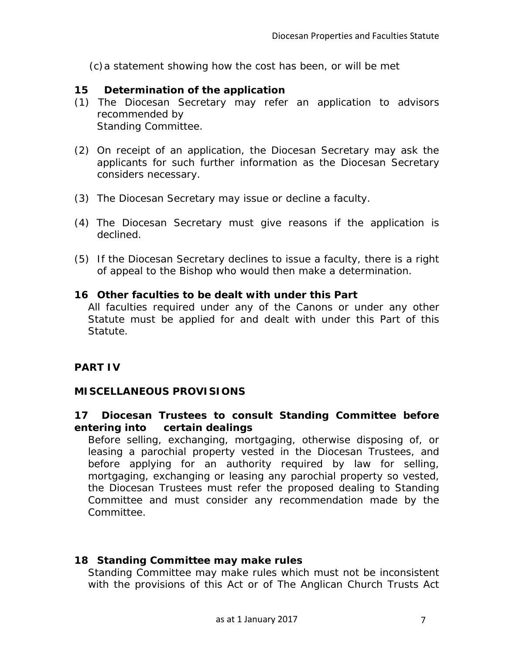(c)a statement showing how the cost has been, or will be met

### **15 Determination of the application**

- (1) The Diocesan Secretary may refer an application to advisors recommended by Standing Committee.
- (2) On receipt of an application, the Diocesan Secretary may ask the applicants for such further information as the Diocesan Secretary considers necessary.
- (3) The Diocesan Secretary may issue or decline a faculty.
- (4) The Diocesan Secretary must give reasons if the application is declined.
- (5) If the Diocesan Secretary declines to issue a faculty, there is a right of appeal to the Bishop who would then make a determination.

#### **16 Other faculties to be dealt with under this Part**

All faculties required under any of the Canons or under any other Statute must be applied for and dealt with under this Part of this Statute.

### **PART IV**

### **MISCELLANEOUS PROVISIONS**

### **17 Diocesan Trustees to consult Standing Committee before entering into certain dealings**

Before selling, exchanging, mortgaging, otherwise disposing of, or leasing a parochial property vested in the Diocesan Trustees, and before applying for an authority required by law for selling, mortgaging, exchanging or leasing any parochial property so vested, the Diocesan Trustees must refer the proposed dealing to Standing Committee and must consider any recommendation made by the Committee.

### **18 Standing Committee may make rules**

Standing Committee may make rules which must not be inconsistent with the provisions of this Act or of The Anglican Church Trusts Act